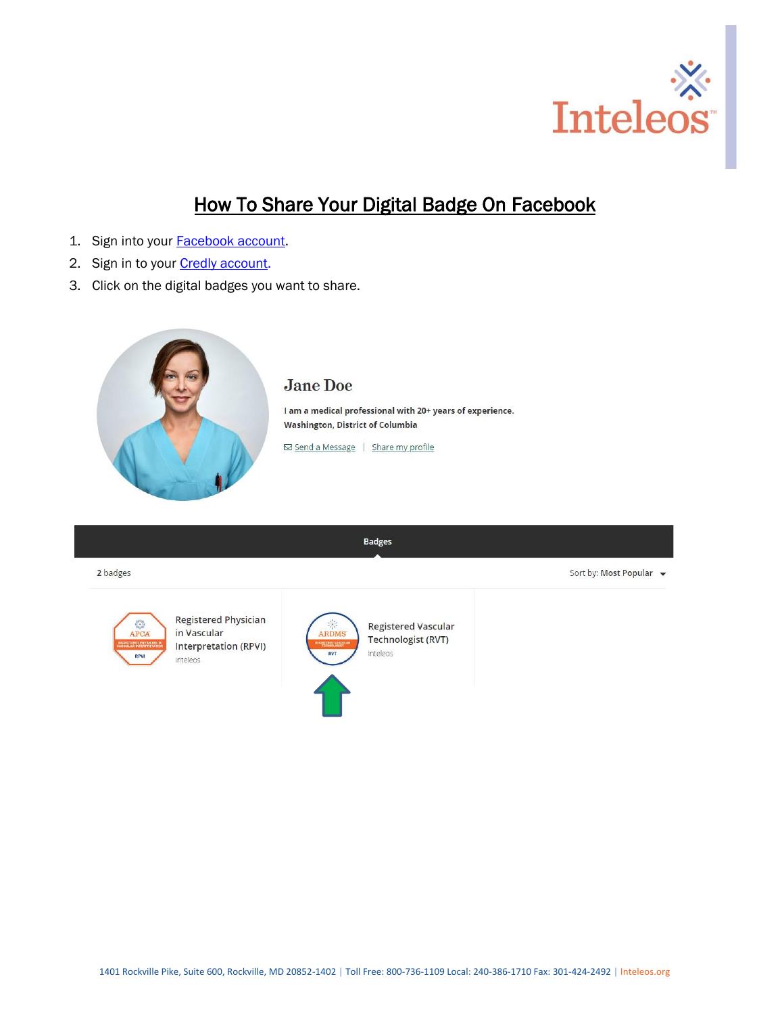

Sort by: Most Popular v

## How To Share Your Digital Badge On Facebook

- 1. Sign into your **Facebook account**.
- 2. Sign in to your **Credly account**.
- 3. Click on the digital badges you want to share.



**Badges** 

2 badges



**Registered Physician** in Vascular **Interpretation (RPVI)** Inteleos



**Registered Vascular** Technologist (RVT) Inteleos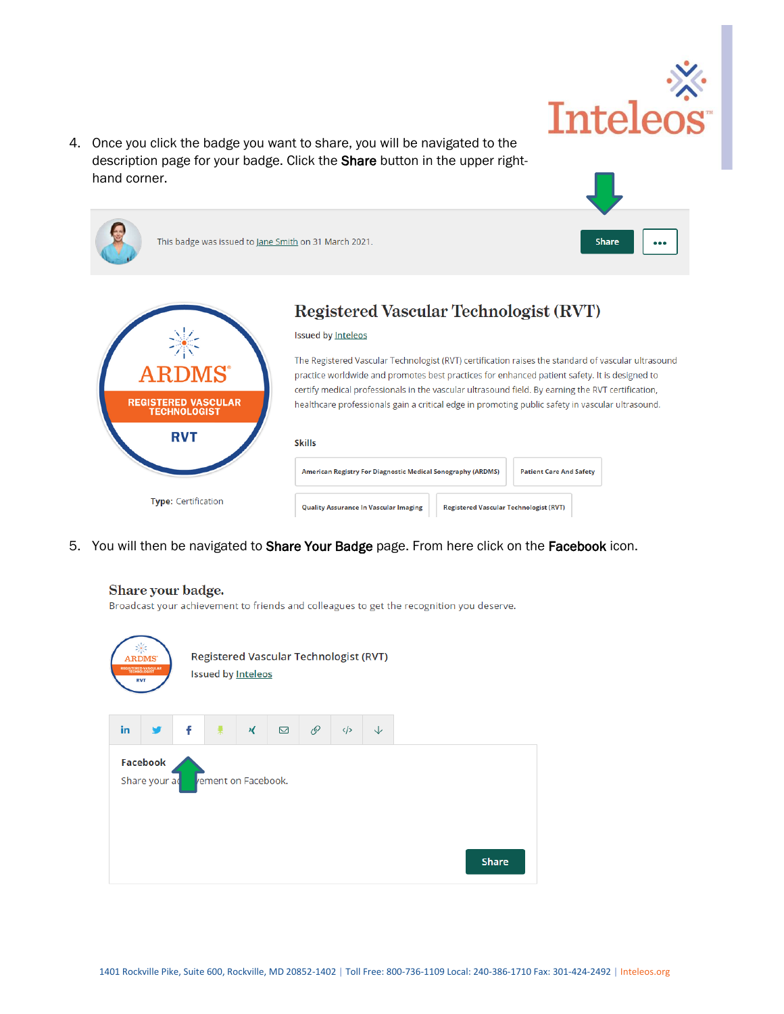

4. Once you click the badge you want to share, you will be navigated to the description page for your badge. Click the Share button in the upper righthand corner.

| This badge was issued to Jane Smith on 31 March 2021.     | <b>Share</b><br>0.0.0                                                                                                                                                                                                                                                                                                                                                                                                                                                                |
|-----------------------------------------------------------|--------------------------------------------------------------------------------------------------------------------------------------------------------------------------------------------------------------------------------------------------------------------------------------------------------------------------------------------------------------------------------------------------------------------------------------------------------------------------------------|
| ARDI<br><b>REGISTERED VASCULAR</b><br><b>TECHNOLOGIST</b> | Registered Vascular Technologist (RVT)<br><b>Issued by Inteleos</b><br>The Registered Vascular Technologist (RVT) certification raises the standard of vascular ultrasound<br>practice worldwide and promotes best practices for enhanced patient safety. It is designed to<br>certify medical professionals in the vascular ultrasound field. By earning the RVT certification,<br>healthcare professionals gain a critical edge in promoting public safety in vascular ultrasound. |
| <b>RVT</b>                                                | <b>Skills</b><br>American Registry For Diagnostic Medical Sonography (ARDMS)<br><b>Patient Care And Safety</b>                                                                                                                                                                                                                                                                                                                                                                       |
| <b>Type: Certification</b>                                | <b>Quality Assurance In Vascular Imaging</b><br><b>Registered Vascular Technologist (RVT)</b>                                                                                                                                                                                                                                                                                                                                                                                        |

5. You will then be navigated to Share Your Badge page. From here click on the Facebook icon.



## Share your badge.

Broadcast your achievement to friends and colleagues to get the recognition you deserve.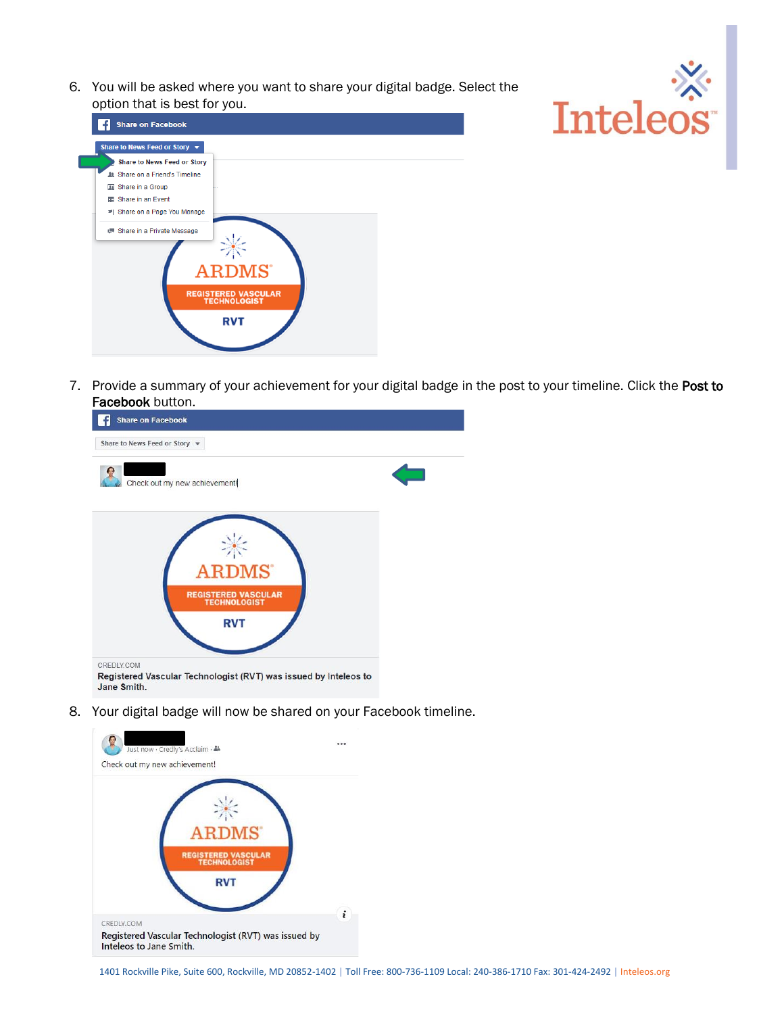6. You will be asked where you want to share your digital badge. Select the option that is best for you.





7. Provide a summary of your achievement for your digital badge in the post to your timeline. Click the Post to Facebook button.



8. Your digital badge will now be shared on your Facebook timeline.